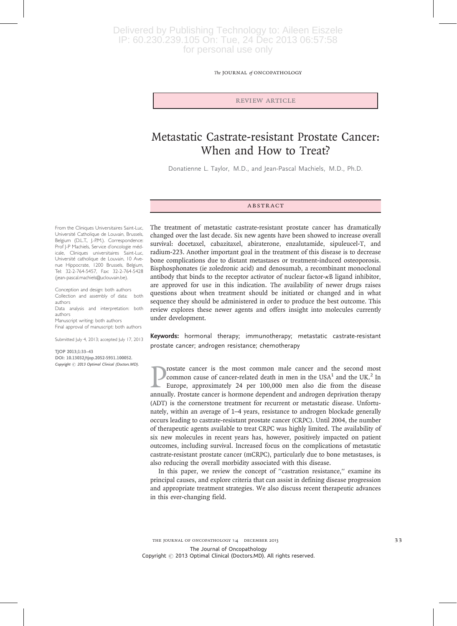The JOURNAL of ONCOPATHOLOGY

Review Article

# Metastatic Castrate-resistant Prostate Cancer: When and How to Treat?

Donatienne L. Taylor, M.D., and Jean-Pascal Machiels, M.D., Ph.D.

#### **ABSTRACT**

From the Cliniques Universitaires Saint-Luc, Université Catholique de Louvain, Brussels, Belgium (D.L.T., J.-P.M.). Correspondence: Prof J-P Machiels, Service d'oncologie médicale, Cliniques universitaires Saint-Luc, Université catholique de Louvain, 10 Avenue Hippocrate, 1200 Brussels, Belgium, Tel: 32-2-764-5457, Fax: 32-2-764-5428 (jean-pascal.machiels@uclouvain.be).

Conception and design: both authors Collection and assembly of data: both authors

Data analysis and interpretation: both authors

Manuscript writing: both authors Final approval of manuscript: both authors

Submitted July 4, 2013; accepted July 17, 2013

TJOP 2013;1:33–43

DOI: 10.13032/tjop.2052-5931.100052. Copyright  $\odot$  2013 Optimal Clinical (Doctors.MD). The treatment of metastatic castrate-resistant prostate cancer has dramatically changed over the last decade. Six new agents have been showed to increase overall survival: docetaxel, cabazitaxel, abiraterone, enzalutamide, sipuleucel-T, and radium-223. Another important goal in the treatment of this disease is to decrease bone complications due to distant metastases or treatment-induced osteoporosis. Bisphosphonates (ie zoledronic acid) and denosumab, a recombinant monoclonal antibody that binds to the receptor activator of nuclear factor-κB ligand inhibitor, are approved for use in this indication. The availability of newer drugs raises questions about when treatment should be initiated or changed and in what sequence they should be administered in order to produce the best outcome. This review explores these newer agents and offers insight into molecules currently under development.

Keywords: hormonal therapy; immunotherapy; metastatic castrate-resistant prostate cancer; androgen resistance; chemotherapy

**Prostate cancer is the most common male cancer and the second most common cause of cancer-related death in men in the USA<sup>1</sup> and the UK.<sup>2</sup> In Europe, approximately 24 per 100,000 men also die from the disease annually. P** rostate cancer is the most common male cancer and the second most common cause of cancer-related death in men in the USA $<sup>1</sup>$  and the UK.<sup>2</sup> In</sup> Europe, approximately 24 per 100,000 men also die from the disease (ADT) is the cornerstone treatment for recurrent or metastatic disease. Unfortunately, within an average of 1–4 years, resistance to androgen blockade generally occurs leading to castrate-resistant prostate cancer (CRPC). Until 2004, the number of therapeutic agents available to treat CRPC was highly limited. The availability of six new molecules in recent years has, however, positively impacted on patient outcomes, including survival. Increased focus on the complications of metastatic castrate-resistant prostate cancer (mCRPC), particularly due to bone metastases, is also reducing the overall morbidity associated with this disease.

In this paper, we review the concept of ''castration resistance,'' examine its principal causes, and explore criteria that can assist in defining disease progression and appropriate treatment strategies. We also discuss recent therapeutic advances in this ever-changing field.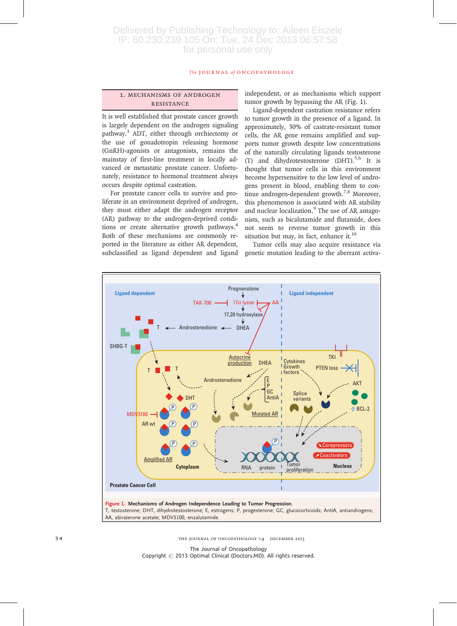#### The JOURNAL of ONCOPATHOLOGY

## 1. MECHANISMS OF ANDROGEN **RESISTANCE**

It is well established that prostate cancer growth is largely dependent on the androgen signaling pathway.<sup>3</sup> ADT, either through orchiectomy or the use of gonadotropin releasing hormone (GnRH)-agonists or antagonists, remains the mainstay of first-line treatment in locally advanced or metastatic prostate cancer. Unfortunately, resistance to hormonal treatment always occurs despite optimal castration.

For prostate cancer cells to survive and proliferate in an environment deprived of androgen, they must either adapt the androgen receptor (AR) pathway to the androgen-deprived conditions or create alternative growth pathways.<sup>4</sup> Both of these mechanisms are commonly reported in the literature as either AR dependent, subclassified as ligand dependent and ligand independent, or as mechanisms which support tumor growth by bypassing the AR (Fig. 1).

Ligand-dependent castration resistance refers to tumor growth in the presence of a ligand. In approximately, 30% of castrate-resistant tumor cells, the AR gene remains amplified and supports tumor growth despite low concentrations of the naturally circulating ligands testosterone (T) and dihydrotestosterone  $(DHT)$ <sup>5,6</sup> It is thought that tumor cells in this environment become hypersensitive to the low level of androgens present in blood, enabling them to continue androgen-dependent growth.<sup>7,8</sup> Moreover, this phenomenon is associated with AR stability and nuclear localization.<sup>9</sup> The use of AR antagonists, such as bicalutamide and flutamide, does not seem to reverse tumor growth in this situation but may, in fact, enhance it. $^{10}$ 

Tumor cells may also acquire resistance via genetic mutation leading to the aberrant activa-



34 THE JOURNAL OF ONCOPATHOLOGY 1:4 DECEMBER 2013

The Journal of Oncopathology Copyright @ 2013 Optimal Clinical (Doctors.MD). All rights reserved.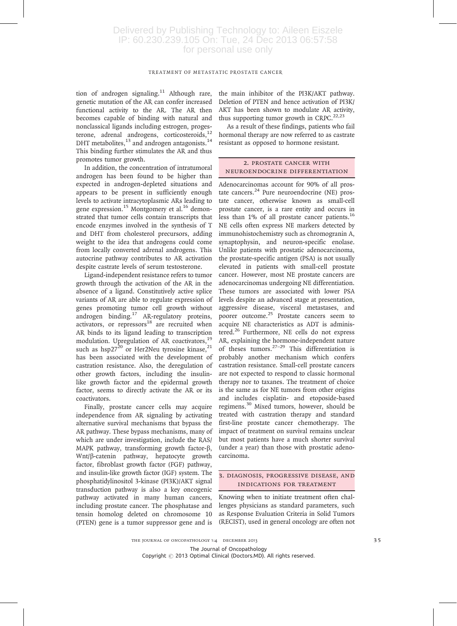#### TREATMENT OF METASTATIC PROSTATE CANCER

tion of androgen signaling.<sup>11</sup> Although rare, genetic mutation of the AR can confer increased functional activity to the AR. The AR then becomes capable of binding with natural and nonclassical ligands including estrogen, progesterone, adrenal androgens, corticosteroids,<sup>12</sup> DHT metabolites,<sup>13</sup> and androgen antagonists.<sup>14</sup> This binding further stimulates the AR and thus promotes tumor growth.

In addition, the concentration of intratumoral androgen has been found to be higher than expected in androgen-depleted situations and appears to be present in sufficiently enough levels to activate intracytoplasmic ARs leading to gene expression.<sup>15</sup> Montgomery et al.<sup>16</sup> demonstrated that tumor cells contain transcripts that encode enzymes involved in the synthesis of T and DHT from cholesterol precursors, adding weight to the idea that androgens could come from locally converted adrenal androgens. This autocrine pathway contributes to AR activation despite castrate levels of serum testosterone.

Ligand-independent resistance refers to tumor growth through the activation of the AR in the absence of a ligand. Constitutively active splice variants of AR are able to regulate expression of genes promoting tumor cell growth without androgen binding.<sup>17</sup> AR-regulatory proteins, activators, or repressors $18$  are recruited when AR binds to its ligand leading to transcription modulation. Upregulation of AR coactivators,<sup>19</sup> such as hsp27 $^{20}$  or Her2Neu tyrosine kinase,<sup>21</sup> has been associated with the development of castration resistance. Also, the deregulation of other growth factors, including the insulinlike growth factor and the epidermal growth factor, seems to directly activate the AR or its coactivators.

Finally, prostate cancer cells may acquire independence from AR signaling by activating alternative survival mechanisms that bypass the AR pathway. These bypass mechanisms, many of which are under investigation, include the RAS/ MAPK pathway, transforming growth factor- $\beta$ , Wnt/b-catenin pathway, hepatocyte growth factor, fibroblast growth factor (FGF) pathway, and insulin-like growth factor (IGF) system. The phosphatidylinositol 3-kinase (PI3K)/AKT signal transduction pathway is also a key oncogenic pathway activated in many human cancers, including prostate cancer. The phosphatase and tensin homolog deleted on chromosome 10 (PTEN) gene is a tumor suppressor gene and is

the main inhibitor of the PI3K/AKT pathway. Deletion of PTEN and hence activation of PI3K/ AKT has been shown to modulate AR activity, thus supporting tumor growth in CRPC.<sup>22,23</sup>

As a result of these findings, patients who fail hormonal therapy are now referred to as castrate resistant as opposed to hormone resistant.

#### 2. PROSTATE CANCER WITH NEUROENDOCRINE DIFFERENTIATION

Adenocarcinomas account for 90% of all prostate cancers. $^{24}$  Pure neuroendocrine (NE) prostate cancer, otherwise known as small-cell prostate cancer, is a rare entity and occurs in less than 1% of all prostate cancer patients.<sup>16</sup> NE cells often express NE markers detected by immunohistochemistry such as chromogranin A, synaptophysin, and neuron-specific enolase. Unlike patients with prostatic adenocarcinoma, the prostate-specific antigen (PSA) is not usually elevated in patients with small-cell prostate cancer. However, most NE prostate cancers are adenocarcinomas undergoing NE differentiation. These tumors are associated with lower PSA levels despite an advanced stage at presentation, aggressive disease, visceral metastases, and poorer outcome.<sup>25</sup> Prostate cancers seem to acquire NE characteristics as ADT is administered. $26$  Furthermore, NE cells do not express AR, explaining the hormone-independent nature of theses tumors.27–<sup>29</sup> This differentiation is probably another mechanism which confers castration resistance. Small-cell prostate cancers are not expected to respond to classic hormonal therapy nor to taxanes. The treatment of choice is the same as for NE tumors from other origins and includes cisplatin- and etoposide-based regimens.<sup>30</sup> Mixed tumors, however, should be treated with castration therapy and standard first-line prostate cancer chemotherapy. The impact of treatment on survival remains unclear but most patients have a much shorter survival (under a year) than those with prostatic adenocarcinoma.

### 3. DIAGNOSIS, PROGRESSIVE DISEASE, AND INDICATIONS FOR TREATMENT

Knowing when to initiate treatment often challenges physicians as standard parameters, such as Response Evaluation Criteria in Solid Tumors (RECIST), used in general oncology are often not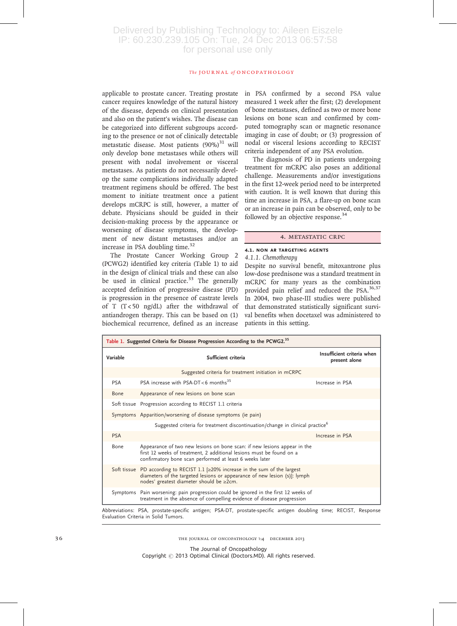#### The JOURNAL of ONCOPATHOLOGY

applicable to prostate cancer. Treating prostate cancer requires knowledge of the natural history of the disease, depends on clinical presentation and also on the patient's wishes. The disease can be categorized into different subgroups according to the presence or not of clinically detectable metastatic disease. Most patients  $(90\%)^{31}$  will only develop bone metastases while others will present with nodal involvement or visceral metastases. As patients do not necessarily develop the same complications individually adapted treatment regimens should be offered. The best moment to initiate treatment once a patient develops mCRPC is still, however, a matter of debate. Physicians should be guided in their decision-making process by the appearance or worsening of disease symptoms, the development of new distant metastases and/or an increase in PSA doubling time. $32$ 

The Prostate Cancer Working Group 2 (PCWG2) identified key criteria (Table 1) to aid in the design of clinical trials and these can also be used in clinical practice. $33$  The generally accepted definition of progressive disease (PD) is progression in the presence of castrate levels of T  $(T < 50$  ng/dL) after the withdrawal of antiandrogen therapy. This can be based on (1) biochemical recurrence, defined as an increase

in PSA confirmed by a second PSA value measured 1 week after the first; (2) development of bone metastases, defined as two or more bone lesions on bone scan and confirmed by computed tomography scan or magnetic resonance imaging in case of doubt; or (3) progression of nodal or visceral lesions according to RECIST criteria independent of any PSA evolution.

The diagnosis of PD in patients undergoing treatment for mCRPC also poses an additional challenge. Measurements and/or investigations in the first 12-week period need to be interpreted with caution. It is well known that during this time an increase in PSA, a flare-up on bone scan or an increase in pain can be observed, only to be followed by an objective response.<sup>34</sup>

#### 4. METASTATIC CRPC

#### 4.1. non ar targeting agents 4.1.1. Chemotherapy

Despite no survival benefit, mitoxantrone plus low-dose prednisone was a standard treatment in mCRPC for many years as the combination provided pain relief and reduced the PSA.<sup>36,37</sup> In 2004, two phase-III studies were published that demonstrated statistically significant survival benefits when docetaxel was administered to patients in this setting.

| Variable   | Sufficient criteria                                                                                                                                                                                         | Insufficient criteria when<br>present alone |
|------------|-------------------------------------------------------------------------------------------------------------------------------------------------------------------------------------------------------------|---------------------------------------------|
|            | Suggested criteria for treatment initiation in mCRPC                                                                                                                                                        |                                             |
| <b>PSA</b> | PSA increase with PSA-DT<6 months <sup>35</sup>                                                                                                                                                             | Increase in PSA                             |
| Bone       | Appearance of new lesions on bone scan                                                                                                                                                                      |                                             |
|            | Soft tissue Progression according to RECIST 1.1 criteria                                                                                                                                                    |                                             |
|            | Symptoms Apparition/worsening of disease symptoms (ie pain)                                                                                                                                                 |                                             |
|            | Suggested criteria for treatment discontinuation/change in clinical practice <sup>6</sup>                                                                                                                   |                                             |
| <b>PSA</b> |                                                                                                                                                                                                             | Increase in PSA                             |
| Bone       | Appearance of two new lesions on bone scan: if new lesions appear in the<br>first 12 weeks of treatment, 2 additional lesions must be found on a<br>confirmatory bone scan performed at least 6 weeks later |                                             |
|            | Soft tissue PD according to RECIST 1.1 [≥20% increase in the sum of the largest<br>diameters of the targeted lesions or appearance of new lesion (s)]: lymph<br>nodes' greatest diameter should be ≥2cm.    |                                             |
|            | Symptoms Pain worsening: pain progression could be ignored in the first 12 weeks of<br>treatment in the absence of compelling evidence of disease progression                                               |                                             |

36 THE JOURNAL OF ONCOPATHOLOGY 1:4 DECEMBER 2013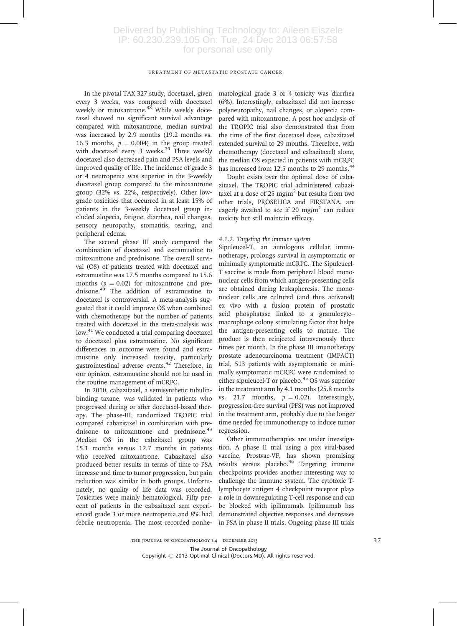#### TREATMENT OF METASTATIC PROSTATE CANCER

In the pivotal TAX 327 study, docetaxel, given every 3 weeks, was compared with docetaxel weekly or mitoxantrone.<sup>38</sup> While weekly docetaxel showed no significant survival advantage compared with mitoxantrone, median survival was increased by 2.9 months (19.2 months vs. 16.3 months,  $p = 0.004$ ) in the group treated with docetaxel every 3 weeks.<sup>39</sup> Three weekly docetaxel also decreased pain and PSA levels and improved quality of life. The incidence of grade 3 or 4 neutropenia was superior in the 3-weekly docetaxel group compared to the mitoxantrone group (32% vs. 22%, respectively). Other lowgrade toxicities that occurred in at least 15% of patients in the 3-weekly docetaxel group included alopecia, fatigue, diarrhea, nail changes, sensory neuropathy, stomatitis, tearing, and peripheral edema.

The second phase III study compared the combination of docetaxel and estramustine to mitoxantrone and prednisone. The overall survival (OS) of patients treated with docetaxel and estramustine was 17.5 months compared to 15.6 months ( $p = 0.02$ ) for mitoxantrone and prednisone.<sup>40</sup> The addition of estramustine to docetaxel is controversial. A meta-analysis suggested that it could improve OS when combined with chemotherapy but the number of patients treated with docetaxel in the meta-analysis was low.<sup>41</sup> We conducted a trial comparing docetaxel to docetaxel plus estramustine. No significant differences in outcome were found and estramustine only increased toxicity, particularly gastrointestinal adverse events.<sup>42</sup> Therefore, in our opinion, estramustine should not be used in the routine management of mCRPC.

In 2010, cabazitaxel, a semisynthetic tubulinbinding taxane, was validated in patients who progressed during or after docetaxel-based therapy. The phase-III, randomized TROPIC trial compared cabazitaxel in combination with prednisone to mitoxantrone and prednisone.<sup>43</sup> Median OS in the cabzitaxel group was 15.1 months versus 12.7 months in patients who received mitoxantrone. Cabazitaxel also produced better results in terms of time to PSA increase and time to tumor progression, but pain reduction was similar in both groups. Unfortunately, no quality of life data was recorded. Toxicities were mainly hematological. Fifty percent of patients in the cabazitaxel arm experienced grade 3 or more neutropenia and 8% had febrile neutropenia. The most recorded nonhe-

matological grade 3 or 4 toxicity was diarrhea (6%). Interestingly, cabazitaxel did not increase polyneuropathy, nail changes, or alopecia compared with mitoxantrone. A post hoc analysis of the TROPIC trial also demonstrated that from the time of the first docetaxel dose, cabazitaxel extended survival to 29 months. Therefore, with chemotherapy (docetaxel and cabazitaxel) alone, the median OS expected in patients with mCRPC has increased from 12.5 months to 29 months.<sup>44</sup>

Doubt exists over the optimal dose of cabazitaxel. The TROPIC trial administered cabazitaxel at a dose of 25 mg/m<sup>2</sup> but results from two other trials, PROSELICA and FIRSTANA, are eagerly awaited to see if 20 mg/m<sup>2</sup> can reduce toxicity but still maintain efficacy.

#### 4.1.2. Targeting the immune system

Sipuleucel-T, an autologous cellular immunotherapy, prolongs survival in asymptomatic or minimally symptomatic mCRPC. The Sipuleucel-T vaccine is made from peripheral blood mononuclear cells from which antigen-presenting cells are obtained during leukapheresis. The mononuclear cells are cultured (and thus activated) ex vivo with a fusion protein of prostatic acid phosphatase linked to a granulocyte– macrophage colony stimulating factor that helps the antigen-presenting cells to mature. The product is then reinjected intravenously three times per month. In the phase III imunotherapy prostate adenocarcinoma treatment (IMPACT) trial, 513 patients with asymptomatic or minimally symptomatic mCRPC were randomized to either sipuleucel-T or placebo.<sup>45</sup> OS was superior in the treatment arm by 4.1 months (25.8 months vs. 21.7 months,  $p = 0.02$ ). Interestingly, progression-free survival (PFS) was not improved in the treatment arm, probably due to the longer time needed for immunotherapy to induce tumor regression.

Other immunotherapies are under investigation. A phase II trial using a pox viral-based vaccine, Prostvac-VF, has shown promising results versus placebo.<sup>46</sup> Targeting immune checkpoints provides another interesting way to challenge the immune system. The cytotoxic Tlymphocyte antigen 4 checkpoint receptor plays a role in downregulating T-cell response and can be blocked with ipilimumab. Ipilimumab has demonstrated objective responses and decreases in PSA in phase II trials. Ongoing phase III trials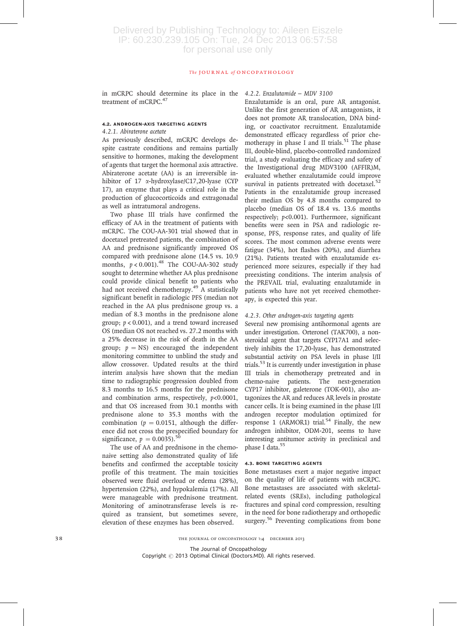#### The JOURNAL of ONCOPATHOLOGY

in mCRPC should determine its place in the 4.2.2. Enzalutamide – MDV 3100 treatment of mCRPC.<sup>47</sup>

## 4.2. androgen-axis targeting agents

#### 4.2.1. Abiraterone acetate

As previously described, mCRPC develops despite castrate conditions and remains partially sensitive to hormones, making the development of agents that target the hormonal axis attractive. Abiraterone acetate (AA) is an irreversible inhibitor of 17  $\alpha$ -hydroxylase/C17,20-lyase (CYP 17), an enzyme that plays a critical role in the production of glucocorticoids and extragonadal as well as intratumoral androgens.

Two phase III trials have confirmed the efficacy of AA in the treatment of patients with mCRPC. The COU-AA-301 trial showed that in docetaxel pretreated patients, the combination of AA and prednisone significantly improved OS compared with prednisone alone (14.5 vs. 10.9 months,  $p < 0.001$ .<sup>48</sup> The COU-AA-302 study sought to determine whether AA plus prednisone could provide clinical benefit to patients who had not received chemotherapy.<sup>49</sup> A statistically significant benefit in radiologic PFS (median not reached in the AA plus prednisone group vs. a median of 8.3 months in the prednisone alone group;  $p < 0.001$ ), and a trend toward increased OS (median OS not reached vs. 27.2 months with a 25% decrease in the risk of death in the AA group;  $p = NS$ ) encouraged the independent monitoring committee to unblind the study and allow crossover. Updated results at the third interim analysis have shown that the median time to radiographic progression doubled from 8.3 months to 16.5 months for the prednisone and combination arms, respectively,  $p<0.0001$ , and that OS increased from 30.1 months with prednisone alone to 35.3 months with the combination ( $p = 0.0151$ , although the difference did not cross the prespecified boundary for significance,  $p = 0.0035$ ).<sup>50</sup>

The use of AA and prednisone in the chemonaive setting also demonstrated quality of life benefits and confirmed the acceptable toxicity profile of this treatment. The main toxicities observed were fluid overload or edema (28%), hypertension (22%), and hypokalemia (17%). All were manageable with prednisone treatment. Monitoring of aminotransferase levels is required as transient, but sometimes severe, elevation of these enzymes has been observed.

Enzalutamide is an oral, pure AR antagonist. Unlike the first generation of AR antagonists, it does not promote AR translocation, DNA binding, or coactivator recruitment. Enzalutamide demonstrated efficacy regardless of prior chemotherapy in phase I and II trials.<sup>51</sup> The phase III, double-blind, placebo-controlled randomized trial, a study evaluating the efficacy and safety of the Investigational drug MDV3100 (AFFIR)M, evaluated whether enzalutamide could improve survival in patients pretreated with docetaxel.<sup>52</sup> Patients in the enzalutamide group increased their median OS by 4.8 months compared to placebo (median OS of 18.4 vs. 13.6 months respectively; p<0.001). Furthermore, significant benefits were seen in PSA and radiologic response, PFS, response rates, and quality of life scores. The most common adverse events were fatigue (34%), hot flashes (20%), and diarrhea (21%). Patients treated with enzalutamide experienced more seizures, especially if they had preexisting conditions. The interim analysis of the PREVAIL trial, evaluating enzalutamide in patients who have not yet received chemotherapy, is expected this year.

#### 4.2.3. Other androgen-axis targeting agents

Several new promising antihormonal agents are under investigation. Orteronel (TAK700), a nonsteroidal agent that targets CYP17A1 and selectively inhibits the 17,20-lyase, has demonstrated substantial activity on PSA levels in phase I/II trials.53 It is currently under investigation in phase III trials in chemotherapy pretreated and in chemo-naive patients. The next-generation CYP17 inhibitor, galeterone (TOK-001), also antagonizes the AR and reduces AR levels in prostate cancer cells. It is being examined in the phase I/II androgen receptor modulation optimized for response 1 (ARMOR1) trial.<sup>54</sup> Finally, the new androgen inhibitor, ODM-201, seems to have interesting antitumor activity in preclinical and phase I data.<sup>55</sup>

#### 4.3. bone targeting agents

Bone metastases exert a major negative impact on the quality of life of patients with mCRPC. Bone metastases are associated with skeletalrelated events (SREs), including pathological fractures and spinal cord compression, resulting in the need for bone radiotherapy and orthopedic surgery.<sup>56</sup> Preventing complications from bone

The Journal of Oncopathology

Copyright @ 2013 Optimal Clinical (Doctors.MD). All rights reserved.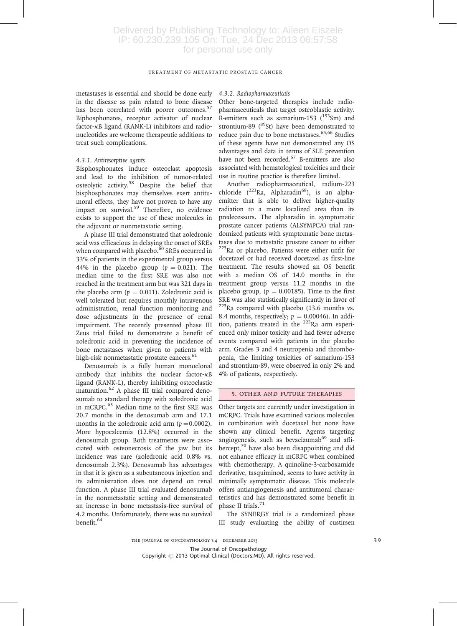#### TREATMENT OF METASTATIC PROSTATE CANCER

metastases is essential and should be done early in the disease as pain related to bone disease has been correlated with poorer outcomes.<sup>57</sup> Biphosphonates, receptor activator of nuclear factor-κB ligand (RANK-L) inhibitors and radionucleotides are welcome therapeutic additions to treat such complications.

#### 4.3.1. Antiresorptive agents

Bisphosphonates induce osteoclast apoptosis and lead to the inhibition of tumor-related osteolytic activity.<sup>58</sup> Despite the belief that bisphosphonates may themselves exert antitumoral effects, they have not proven to have any impact on survival.<sup>59</sup> Therefore, no evidence exists to support the use of these molecules in the adjuvant or nonmetastatic setting.

A phase III trial demonstrated that zoledronic acid was efficacious in delaying the onset of SREs when compared with placebo.<sup>60</sup> SREs occurred in 33% of patients in the experimental group versus 44% in the placebo group ( $p = 0.021$ ). The median time to the first SRE was also not reached in the treatment arm but was 321 days in the placebo arm ( $p = 0.011$ ). Zoledronic acid is well tolerated but requires monthly intravenous administration, renal function monitoring and dose adjustments in the presence of renal impairment. The recently presented phase III Zeus trial failed to demonstrate a benefit of zoledronic acid in preventing the incidence of bone metastases when given to patients with high-risk nonmetastatic prostate cancers.<sup>61</sup>

Denosumab is a fully human monoclonal antibody that inhibits the nuclear factor-κB ligand (RANK-L), thereby inhibiting osteoclastic maturation.<sup>62</sup> A phase III trial compared denosumab to standard therapy with zoledronic acid in mCRPC. $^{63}$  Median time to the first SRE was 20.7 months in the denosumab arm and 17.1 months in the zoledronic acid arm ( $p=0.0002$ ). More hypocalcemia (12.8%) occurred in the denosumab group. Both treatments were associated with osteonecrosis of the jaw but its incidence was rare (zoledronic acid 0.8% vs. denosumab 2.3%). Denosumab has advantages in that it is given as a subcutaneous injection and its administration does not depend on renal function. A phase III trial evaluated denosumab in the nonmetastatic setting and demonstrated an increase in bone metastasis-free survival of 4.2 months. Unfortunately, there was no survival benefit.<sup>64</sup>

#### 4.3.2. Radiopharmaceuticals

Other bone-targeted therapies include radiopharmaceuticals that target osteoblastic activity. B-emitters such as samarium-153  $(^{153}Sm)$  and strontium-89 ( $^{89}$ St) have been demonstrated to reduce pain due to bone metastases.<sup>65,66</sup> Studies of these agents have not demonstrated any OS advantages and data in terms of SLE prevention have not been recorded.<sup>67</sup> B-emitters are also associated with hematological toxicities and their use in routine practice is therefore limited.

Another radiopharmaceutical, radium-223 chloride  $(^{223}$ Ra, Alpharadin<sup>68</sup>), is an alphaemitter that is able to deliver higher-quality radiation to a more localized area than its predecessors. The alpharadin in symptomatic prostate cancer patients (ALSYMPCA) trial randomized patients with symptomatic bone metastases due to metastatic prostate cancer to either <sup>223</sup>Ra or placebo. Patients were either unfit for docetaxel or had received docetaxel as first-line treatment. The results showed an OS benefit with a median OS of 14.0 months in the treatment group versus 11.2 months in the placebo group, ( $p = 0.00185$ ). Time to the first SRE was also statistically significantly in favor of  $223$ Ra compared with placebo (13.6 months vs. 8.4 months, respectively;  $p = 0.00046$ ). In addition, patients treated in the  $223$ Ra arm experienced only minor toxicity and had fewer adverse events compared with patients in the placebo arm. Grades 3 and 4 neutropenia and thrombopenia, the limiting toxicities of samarium-153 and strontium-89, were observed in only 2% and 4% of patients, respectively.

#### 5. OTHER AND FUTURE THERAPIES

Other targets are currently under investigation in mCRPC. Trials have examined various molecules in combination with docetaxel but none have shown any clinical benefit. Agents targeting angiogenesis, such as bevacizumab $^{69}$  and aflibercept, $70$  have also been disappointing and did not enhance efficacy in mCRPC when combined with chemotherapy. A quinoline-3-carboxamide derivative, tasquiminod, seems to have activity in minimally symptomatic disease. This molecule offers antiangiogenesis and antitumoral characteristics and has demonstrated some benefit in phase II trials. $71$ 

The SYNERGY trial is a randomized phase III study evaluating the ability of custirsen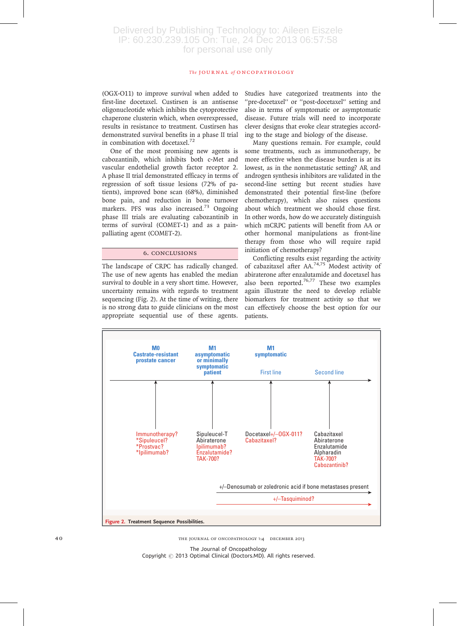#### The JOURNAL of ONCOPATHOLOGY

(OGX-O11) to improve survival when added to first-line docetaxel. Custirsen is an antisense oligonucleotide which inhibits the cytoprotective chaperone clusterin which, when overexpressed, results in resistance to treatment. Custirsen has demonstrated survival benefits in a phase II trial in combination with docetaxel. $72$ 

One of the most promising new agents is cabozantinib, which inhibits both c-Met and vascular endothelial growth factor receptor 2. A phase II trial demonstrated efficacy in terms of regression of soft tissue lesions (72% of patients), improved bone scan (68%), diminished bone pain, and reduction in bone turnover markers. PFS was also increased.<sup>73</sup> Ongoing phase III trials are evaluating cabozantinib in terms of survival (COMET-1) and as a painpalliating agent (COMET-2).

### 6. CONCLUSIONS

The landscape of CRPC has radically changed. The use of new agents has enabled the median survival to double in a very short time. However, uncertainty remains with regards to treatment sequencing (Fig. 2). At the time of writing, there is no strong data to guide clinicians on the most appropriate sequential use of these agents.

Studies have categorized treatments into the ''pre-docetaxel'' or ''post-docetaxel'' setting and also in terms of symptomatic or asymptomatic disease. Future trials will need to incorporate clever designs that evoke clear strategies according to the stage and biology of the disease.

Many questions remain. For example, could some treatments, such as immunotherapy, be more effective when the disease burden is at its lowest, as in the nonmetastatic setting? AR and androgen synthesis inhibitors are validated in the second-line setting but recent studies have demonstrated their potential first-line (before chemotherapy), which also raises questions about which treatment we should chose first. In other words, how do we accurately distinguish which mCRPC patients will benefit from AA or other hormonal manipulations as front-line therapy from those who will require rapid initiation of chemotherapy?

Conflicting results exist regarding the activity of cabazitaxel after AA.<sup>74,75</sup> Modest activity of abiraterone after enzalutamide and docetaxel has also been reported.<sup>76,77</sup> These two examples again illustrate the need to develop reliable biomarkers for treatment activity so that we can effectively choose the best option for our patients.



40 **the journal of oncopathology 1:4** DECEMBER 2013

The Journal of Oncopathology Copyright @ 2013 Optimal Clinical (Doctors.MD). All rights reserved.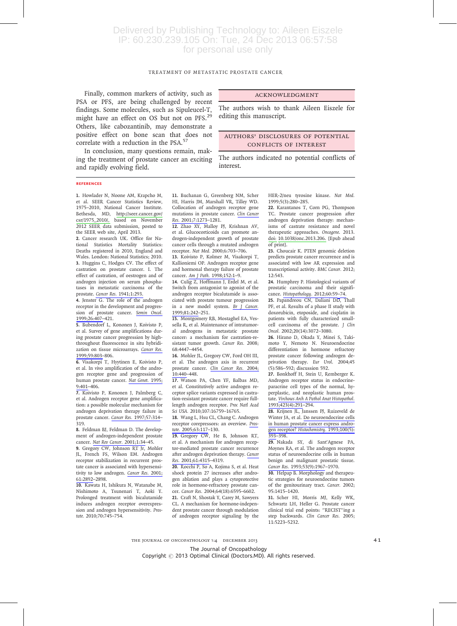#### TREATMENT OF METASTATIC PROSTATE CANCER

Finally, common markers of activity, such as PSA or PFS, are being challenged by recent findings. Some molecules, such as Sipuleucel-T, might have an effect on OS but not on PFS.<sup>29</sup> Others, like cabozantinib, may demonstrate a positive effect on bone scan that does not correlate with a reduction in the PSA.<sup>57</sup>

#### Acknowledgment

The authors wish to thank Aileen Eiszele for editing this manuscript.

#### AUTHORS' DISCLOSURES OF POTENTIAL CONFLICTS OF INTEREST

In conclusion, many questions remain, making the treatment of prostate cancer an exciting and rapidly evolving field.

The authors indicated no potential conflicts of interest.

#### REFERENCES

1. Howlader N, Noone AM, Krapcho M, et al. SEER Cancer Statistics Review, 1975–2010, National Cancer Institute. Bethesda, MD, [http://seer.cancer.gov/](http://seer.cancer.gov/csr/1975_2010/) [csr/1975\\_2010/,](http://seer.cancer.gov/csr/1975_2010/) based on November 2012 SEER data submission, posted to the SEER web site, April 2013.

2. Cancer research UK. Office for National Statistics Mortality Statistics: Deaths registered in 2010, England and Wales. London: National Statistics; 2010. 3. Huggins C, Hodges CV. The effect of castration on prostate cancer. I. The effect of castration, of oestrogen and of androgen injection on serum phosphatases in metastatic carcinoma of the prostate. Cancer Res. [1941;1:293.](http://www.ingentaconnect.com/content/external-references?article=0008-5472(1941)1L.293[aid=1887856])

4. Jenster G. The role of the androgen receptor in the development and progres-sion of prostate cancer. [Semin Oncol.](http://www.ingentaconnect.com/content/external-references?article=0093-7754(1999)26L.407[aid=5060950]) [1999;26:407](http://www.ingentaconnect.com/content/external-references?article=0093-7754(1999)26L.407[aid=5060950])–421.

5. Bubendorf L, Kononen J, Koivisto P, et al. Survey of gene amplifications during prostate cancer progression by highthroughout fluorescence in situ hybridization on tissue microarrays. [Cancer Res.](http://www.ingentaconnect.com/content/external-references?article=0008-5472(1999)59L.803[aid=1124039]) [1999;59:803](http://www.ingentaconnect.com/content/external-references?article=0008-5472(1999)59L.803[aid=1124039])–806.

6. Visakorpi T, Hyytinen E, Koivisto P, et al. In vivo amplification of the androgen receptor gene and progression of human prostate cancer. [Nat Genet.](http://www.ingentaconnect.com/content/external-references?article=1061-4036(1995)9L.401[aid=204264]) 1995; [9:401](http://www.ingentaconnect.com/content/external-references?article=1061-4036(1995)9L.401[aid=204264])–406.

7. Koivisto P, Kononen J, Palmberg C, et al. Androgen receptor gene amplification: a possible molecular mechanism for androgen deprivation therapy failure in prostate cancer. Cancer Res. [1997;57:314](http://www.ingentaconnect.com/content/external-references?article=0008-5472(1997)57L.314[aid=1519157])– 319.

8. Feldman BJ, Feldman D. The development of androgen-independent prostate cancer. [Nat Rev Cancer.](http://www.ingentaconnect.com/content/external-references?article=1474-175x(2001)1L.34[aid=5093320]) 2001;1:34–45.

9. Gregory CW, Johnson RT Jr, Mohler JL, French FS, Wilson EM. Androgen receptor stabilization in recurrent prostate cancer is associated with hypersensitivity to low androgen. [Cancer Res.](http://www.ingentaconnect.com/content/external-references?article=0008-5472(2001)61L.2892[aid=4965881]) 2001; [61:2892](http://www.ingentaconnect.com/content/external-references?article=0008-5472(2001)61L.2892[aid=4965881])–2898.

10. Kawata H, Ishikura N, Watanabe M, Nishimoto A, Tsunenari T, Aoki Y. Prolonged treatment with bicalutamide induces androgen receptor overexpression and androgen hypersensitivity. Prostate. 2010;70:745–754.

11. Buchanan G, Greenberg NM, Scher HI, Harris JM, Marshall VR, Tilley WD. Collocation of androgen receptor gene mutations in prostate cancer. [Clin Cancer](http://www.ingentaconnect.com/content/external-references?article=1078-0432(2001)7L.1273[aid=10178722]) Res. [2001;7:1273](http://www.ingentaconnect.com/content/external-references?article=1078-0432(2001)7L.1273[aid=10178722])–1281.

12. Zhao XY, Malloy PJ, Krishnan AV, et al. Glucocorticoids can promote androgen-independent growth of prostate cancer cells through a mutated androgen receptor. Nat Med. 2000;6:703–706.

13. Koivisto P, Kolmer M, Visakorpi T, Kallioniemi OP. Androgen receptor gene and hormonal therapy failure of prostate cancer. Am J Path. [1998;152:1](http://www.ingentaconnect.com/content/external-references?article=0002-9440(1998)152L.1[aid=2638131])–9.

14. Culig Z, Hoffmann J, Erdel M, et al. Switch from antagonist to agonist of the androgen receptor bicalutamide is associated with prostate tumour progression in a new model system. [Br J Cancer.](http://www.ingentaconnect.com/content/external-references?article=0007-0920(1999)81L.242[aid=5062451]) [1999;81:242](http://www.ingentaconnect.com/content/external-references?article=0007-0920(1999)81L.242[aid=5062451])–251.

15. Montgomery RB, Mostaghel EA, Vessella R, et al. Maintenance of intratumoral androgens in metastatic prostate cancer: a mechanism for castration-resistant tumor growth. Cancer Res. 2008; 68:4447–4454.

16. Mohler JL, Gregory CW, Ford OH III, et al. The androgen axis in recurrent prostate cancer. [Clin Cancer Res.](http://www.ingentaconnect.com/content/external-references?article=1078-0432(2004)10L.440[aid=8246085]) 2004; [10:440](http://www.ingentaconnect.com/content/external-references?article=1078-0432(2004)10L.440[aid=8246085])–448.

17. Watson PA, Chen YF, Balbas MD, et al. Constitutively active androgen receptor splice variants expressed in castration-resistant prostate cancer require fulllength androgen receptor. Proc Natl Acad Sci USA. 2010;107:16759–16765.

18. Wang L, Hsu CL, Chang C. Androgen receptor corepressors: an overview. [Pros](http://www.ingentaconnect.com/content/external-references?article=0270-4137(2005)63L.117[aid=7170488])tate. [2005;63:117](http://www.ingentaconnect.com/content/external-references?article=0270-4137(2005)63L.117[aid=7170488])–130.

19. Gregory CW, He B, Johnson RT, et al. A mechanism for androgen receptor-mediated prostate cancer recurrence after androgen deprivation therapy. [Cancer](http://www.ingentaconnect.com/content/external-references?article=0008-5472(2001)61L.4315[aid=4965887]) Res. [2001;61:4315](http://www.ingentaconnect.com/content/external-references?article=0008-5472(2001)61L.4315[aid=4965887])–4319.

20. Rocchi P, So A, Kojima S, et al. Heat shock protein 27 increases after androgen ablation and plays a cytoprotective role in hormone-refractory prostate cancer. Cancer Res. 2004;64(18):6595–6602. 21. Craft N, Shostak Y, Carey M, Sawyers CL. A mechanism for hormone-independent prostate cancer through modulation of androgen receptor signaling by the HER-2/neu tyrosine kinase. Nat Med. 1999;5(3):280–285.

22. Karantanos T, Corn PG, Thompson TC. Prostate cancer progression after androgen deprivation therapy: mechanisms of castrate resistance and novel therapeutic approaches. Oncogene. 2013. [doi: 10.1038/onc.2013.206.](http://dx.doi.org/10.1038/onc.2013.206) [Epub ahead of print].

23. Choucair K. PTEN genomic deletion predicts prostate cancer recurrence and is associated with low AR expression and transcriptional activity. BMC Cancer. 2012; 12:543.

24. Humphrey P. Histological variants of prostatic carcinoma and their significance. [Histopathology.](http://www.ingentaconnect.com/content/external-references?article=0309-0167(2012)60L.59[aid=10178717]) 2012;60:59[–](http://www.ingentaconnect.com/content/external-references?article=0309-0167(2012)60L.59[aid=10178717])[74.](http://www.ingentaconnect.com/content/external-references?article=0309-0167(2012)60L.59[aid=10178717])

25. Papandreou CN, Daliani DD, Thall PF, et al. Results of a phase II study with doxorubicin, etoposide, and cisplatin in patients with fully characterized smallcell carcinoma of the prostate. J Clin Oncol. 2002;20(14):3072–3080.

26. Hirano D, Okada Y, Minei S, Takimoto Y, Nemoto N. Neuroendocrine differentiation in hormone refractory prostate cancer following androgen deprivation therapy. Eur Urol. 2004;45 (5):586–592; discussion 592.

27. Bonkhoff H, Stein U, Remberger K. Androgen receptor status in endocrineparacrine cell types of the normal, hyperplastic, and neoplastic human prostate. [Virchows Arch A Pathol Anat Histopathol.](http://www.ingentaconnect.com/content/external-references?article=0174-7398(1993)423:4L.291[aid=10178710]) [1993;423\(4\):291](http://www.ingentaconnect.com/content/external-references?article=0174-7398(1993)423:4L.291[aid=10178710])–294.

28. Krijnen JL, Janssen PJ, Ruizeveld de Winter JA, et al. [Do neuroendocrine cells](http://www.ingentaconnect.com/content/external-references?article=0301-5564(1993)100:5L.393[aid=10178709]) [in human prostate cancer express andro-](http://www.ingentaconnect.com/content/external-references?article=0301-5564(1993)100:5L.393[aid=10178709])gen receptor? [Histochemistry.](http://www.ingentaconnect.com/content/external-references?article=0301-5564(1993)100:5L.393[aid=10178709]) 1993;100(5): [393](http://www.ingentaconnect.com/content/external-references?article=0301-5564(1993)100:5L.393[aid=10178709])–398.

29. Nakada SY, di Sant'Agnese PA, Moynes RA, et al. The androgen receptor status of neuroendocrine cells in human benign and malignant prostatic tissue. Cancer Res. [1993;53\(9\):1967](http://www.ingentaconnect.com/content/external-references?article=0008-5472(1993)53:9L.1967[aid=10178708])–1970.

30. Helpap B. Morphology and therapeutic strategies for neuroendocrine tumors of the genitourinary tract. Cancer. 2002; 95:1415–1420.

31. Scher HI, Morris MJ, Kelly WK, Schwartz LH, Heller G. Prostate cancer clinical trial end points: ''RECIST''ing a step backwards. Clin Cancer Res. 2005; 11:5223–5232.

THE JOURNAL OF ONCOPATHOLOGY 1:4 DECEMBER 2013 4 1

The Journal of Oncopathology

Copyright @ 2013 Optimal Clinical (Doctors.MD). All rights reserved.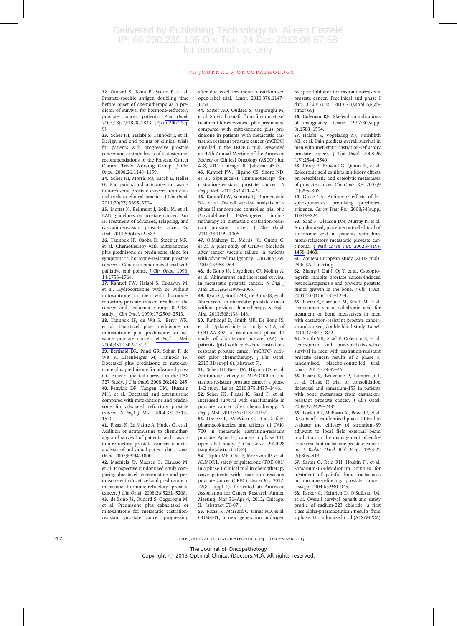#### The JOURNAL of ONCOPATHOLOGY

32. Oudard S, Banu E, Scotte F, et al. Prostate-specific antigen doubling time before onset of chemotherapy as a predictor of survival for hormone-refractory prostate cancer patients. [Ann Oncol](http://www.ingentaconnect.com/content/external-references?article=0923-7534(2007)18:11L.1828[aid=10178731]). [2007;18](http://www.ingentaconnect.com/content/external-references?article=0923-7534(2007)18:11L.1828[aid=10178731])(11):1828–1833. [Epub 2007 Sep  $\overline{9}$ ]

33. Scher HI, Halabi S, Tannock I, et al. Design and end points of clinical trials for patients with progressive prostate cancer and castrate levels of testosterone: recommendations of the Prostate Cancer Clinical Trials Working Group. J Clin Oncol. 2008;26:1148–1159.

34. Scher HI, Morris MJ, Basch E, Heller G. End points and outcomes in castration-resistant prostate cancer: from clinical trials to clinical practice. J Clin Oncol. 2011;29(27):3695–3704.

35. Mottet N, Bellmunt J, Bolla M, et al. EAU guidelines on prostate cancer. Part II: Treatment of advanced, relapsing, and castration-resistant prostate cancer. Eur Urol. 2011;59(4):572–583.

36. Tannock IF, Osoba D, Stockler MR, et al. Chemotherapy with mitoxantrone plus prednisone or prednisone alone for symptomatic hormone-resistant prostate cancer: a Canadian randomized trial with palliative end points. [J Clin Oncol.](http://www.ingentaconnect.com/content/external-references?article=0732-183x(1996)14L.1756[aid=1519152]) 1996; [14:1756](http://www.ingentaconnect.com/content/external-references?article=0732-183x(1996)14L.1756[aid=1519152])–1764.

37. Kantoff PW, Halabi S, Conaway M, et al. Hydrocortisone with or without mitoxantrone in men with hormonerefractory prostate cancer: results of the cancer and leukemia Group B 9182 study. J Clin Oncol. [1999;17:2506](http://www.ingentaconnect.com/content/external-references?article=0732-183x(1999)17L.2506[aid=2415418])–2513.

38. Tannock IF, de Wit R, Berry WR, et al. Docetaxel plus prednisone or mitoxantrone plus prednisone for advance prostate cancer. [N Engl J Med.](http://www.ingentaconnect.com/content/external-references?article=0028-4793(2004)351L.1502[aid=7427892]) [2004;351:1502](http://www.ingentaconnect.com/content/external-references?article=0028-4793(2004)351L.1502[aid=7427892])–1512.

39. Berthold DR, Pond GR, Soban F, de Wit R, Eisenberger M, Tannock IF. Docetaxel plus prednisone or mitoxantrone plus prednisone for advanced prostate cancer: updated survival in the TAX 327 Study. J Clin Oncol. 2008;26:242–245. 40. Petrylak DP, Tangen CM, Hussain MH, et al. Docetaxel and estramustine compared with mitoxantrone and prednisone for advanced refractory prostate cancer. [N Engl J Med.](http://www.ingentaconnect.com/content/external-references?article=0028-4793(2004)351L.1513[aid=7427891]) 2004;351:1513– 1520.

41. Fizazi K, Le Maitre A, Hudes G, et al. Addition of estramustine to chemotherapy and survival of patients with castration-refractory prostate cancer: a metaanalysis of individual patient data. Lancet Oncol. 2007;8:994–1000.

42. Machiels JP, Mazzeo F, Clausse M, et al. Prospective randomized study comparing docetaxel, estramustine and prednisone with docetaxel and prednisone in metastatic hormone-refractory prostate cancer. J Clin Oncol. 2008;26:5261–5268. 43. de Bono JS, Oudard S, Ozguroglu M, et al. Prednisone plus cabazitaxel or mitoxantrone for metastatic castrationresistant prostate cancer progressing

after docetaxel treatment: a randomised open-label trial. Lancet. 2010;376:1147– 1154.

44. Sartor AO, Oudard S, Ozguroglu M, et al. Survival benefit from first docetaxel treatment for cabazitaxel plus prednisone compared with mitoxantrone plus prednisone in patients with metastatic castration resistant prostate cancer (mCRPC) enrolled in the TROPIC trial. Presented at: 47th Annual Meeting of the American Society of Clinical Oncology (ASCO); Jun 4–8, 2011; Chicago, IL. [abstract 4525]. 45. Kantoff PW, Higano CS, Shore ND, et al. Sipuleucel-T immunotherapy for castration-resistant prostate cancer. N Eng J Med. 2010;363:411–422.

46. Kantoff PW, Schuetz TJ, Blumenstein BA, et al. Overall survival analysis of a phase II randomized controlled trial of a Poxviral-based PSA-targeted immunotherapy in metastatic castration-resistant prostate cancer. J Clin Oncol. 2010;28:1099–1105.

47. O'Mahony D, Morris JC, Quinn C, et al. A pilot study of CTLA-4 blockade after cancer vaccine failure in patients with advanced malignancy. [Clin Cancer Res.](http://www.ingentaconnect.com/content/external-references?article=1078-0432(2007)13L.958[aid=8796302]) [2007;13:958](http://www.ingentaconnect.com/content/external-references?article=1078-0432(2007)13L.958[aid=8796302])–964.

48. de Bono JS, Logothetis CJ, Molina A, et al. Abiraterone and increased survival in metastatic prostate cancer. N Engl J Med. 2011;364:1995–2005.

49. Ryan CJ, Smith MR, de Bono JS, et al. Abiraterone in metastatic prostate cancer without previous chemotherapy. N Engl J Med. 2013;368:138–148.

50. Rathkopf D, Smith MR, De Bono JS, et al. Updated interim analysis (IA) of COU-AA-302, a randomized phase III study of abiraterone acetate (AA) in patients (pts) with metastatic castrationresistant prostate cancer (mCRPC) without prior chemotherapy. J Clin Oncol. 2013;31(suppl 6):[abstract 5].

51. Scher HI, Beer TM, Higano CS, et al. Antitumour activity of MDV3100 in castration-resistant prostate cancer: a phase 1–2 study. Lancet. 2010;375:1437–1446.

52. Scher HI, Fizazi K, Saad F, et al. Increased survival with enzalutamide in prostate cancer after chemotherapy. N Engl J Med. 2012;367:1187–1197.

53. Dreicer R, MacVicar G, et al. Safety, pharmacokinetics, and efficacy of TAK-700 in metastatic castration-resistant prostate Agus D, cancer: a phase I/II, open-label study. J Clin Oncol. 2010;28 (suppl):[abstract 3084].

54. Taplin ME, Chu F, Morrison JP, et al. ARMOR1: safety of galeterone (TOK-001) in a phase 1 clinical trial in chemotherapy naïve patients with castration resistant prostate cancer (CRPC). Cancer Res. 2012; 72(8, suppl 1). Presented at: American Association for Cancer Research Annual Meeting; Mar 31–Apr 4, 2012; Chicago, IL. [abstract CT-07].

55. Fizazi K, Massard C, James ND, et al. ODM-201, a new generation androgen receptor inhibitor for castration-resistant prostate cancer. Preclinical and phase I data. J Clin Oncol. 2013;31(suppl 6):[abstract 65].

56. Coleman RE. Skeletal complications of malignancy. Cancer. 1997;80(suppl 8):1588–1594.

57. Halabi S, Vogelzang NJ, Kornblith AB, et al. Pain predicts overall survival in men with metastatic castration-refractory prostate cancer. J Clin Oncol. 2008;26  $(15):2544 - 2549$ .

58. Corey E, Brown LG, Quinn JE, et al. Zoledronic acid exhibits inhibitory effects on osteoblastic and osteolytic metastases of prostate cancer. Clin Cancer Res. 2003;9 (1):295–306.

59. Guise TA. Antitumor effects of bisphosphonates: promising preclinical evidence. Cancer Treat Rev. 2008;34(suppl 1):S19–S24.

60. Saad F, Gleason DM, Murray R, et al. A randomized, placebo-controlled trial of zoledronic acid in patients with hormone-refractory metastatic prostate carcinoma. [J Natl Cancer Inst.](http://www.ingentaconnect.com/content/external-references?article=0027-8874(2002)94:19L.1458[aid=10178726]) 2002;94(19): [1458](http://www.ingentaconnect.com/content/external-references?article=0027-8874(2002)94:19L.1458[aid=10178726])–1468.

61. Zometa European study (ZEUS trial). 28th EAU meeting.

62. Zhang J, Dai J, Qi Y, et al. Osteoprotegerin inhibits prostate cancer-induced osteoclastogenesis and prevents prostate tumor growth in the bone. J Clin Invest. 2001;107(10):1235–1244.

63. Fizazi K, Carducci M, Smith M, et al. Denosumab versus zoledronic acid for treatment of bone metastases in men with castration-resistant prostate cancer: a randomised, double blind study. Lancet. 2011;377:813–822.

64. Smith MR, Saad F, Coleman R, et al. Denosumab and bone-metastasis-free survival in men with castration-resistant prostate cancer: results of a phase 3, randomised, placebo-controlled trial. Lancet. 2012;379:39–46.

65. Fizazi K, Beuzeboc P, Lumbroso J, et al. Phase II trial of consolidation docetaxel and samarium-153 in patients with bone metastases from castrationresistant prostate cancer. J Clin Oncol. 2009;27:2429–2435.

66. Porter AT, McEwan AJ, Powe JE, et al. Results of a randomized phase-III trial to evaluate the efficacy of strontium-89 adjuvant to local field external beam irradiation in the management of endocrine resistant metastatic prostate cancer. Int J Radiat Oncol Biol Phys. 1993;25 (5):805–813.

67. Sartor O, Reid RH, Hoskin PJ, et al. Samarium-153-lexidronam complex for treatment of painful bone metastases in hormone-refractory prostate cancer. Urology. 2004;63:940–945.

68. Parker C, Heinrich D, O'Sullivan JM, et al. Overall survival benefit and safety profile of radium-223 chloride, a first class alpha-pharmaceutical: Results from a phase III randomized trial (ALSYMPCA)

42 THE JOURNAL OF ONCOPATHOLOGY 1:4 DECEMBER 2013

The Journal of Oncopathology

Copyright @ 2013 Optimal Clinical (Doctors.MD). All rights reserved.